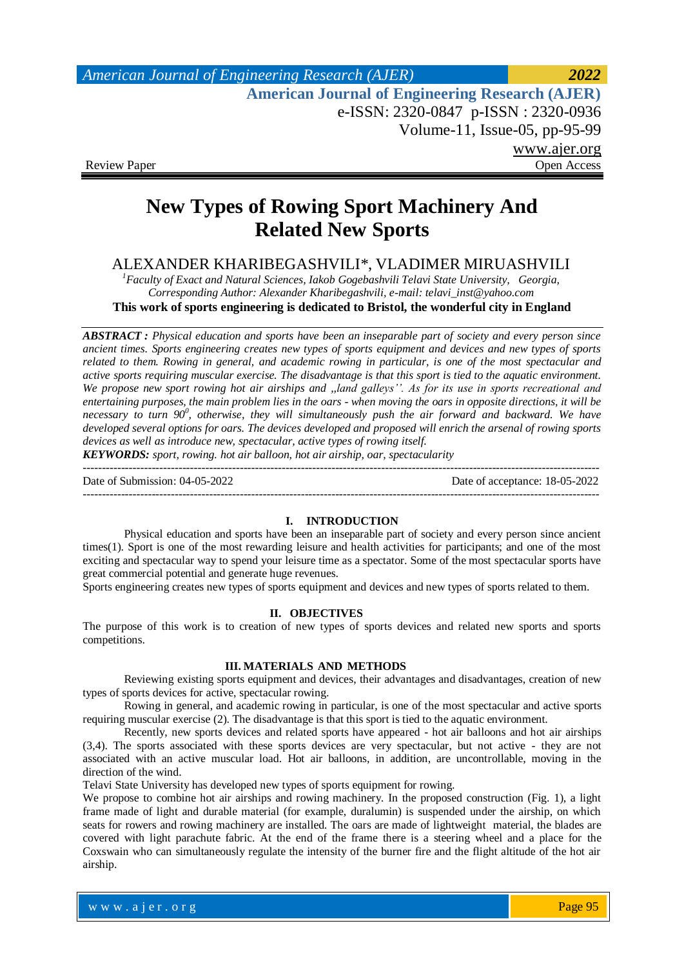*American Journal of Engineering Research (AJER) 2022*  **American Journal of Engineering Research (AJER)** e-ISSN: 2320-0847 p-ISSN : 2320-0936 Volume-11, Issue-05, pp-95-99 www.ajer.org Review Paper **Open Access** Open Access **Open Access** 

# **New Types of Rowing Sport Machinery And Related New Sports**

# ALEXANDER KHARIBEGASHVILI\*, VLADIMER MIRUASHVILI

*<sup>1</sup>Faculty of Exact and Natural Sciences, Iakob Gogebashvili Telavi State University, Georgia, Corresponding Author: Alexander Kharibegashvili, e-mail: telavi\_inst@yahoo.com* **This work of sports engineering is dedicated to Bristol, the wonderful city in England**

*ABSTRACT : Physical education and sports have been an inseparable part of society and every person since ancient times. Sports engineering creates new types of sports equipment and devices and new types of sports related to them. Rowing in general, and academic rowing in particular, is one of the most spectacular and active sports requiring muscular exercise. The disadvantage is that this sport is tied to the aquatic environment. We propose new sport rowing hot air airships and ,,land galleys''. As for its use in sports recreational and entertaining purposes, the main problem lies in the oars - when moving the oars in opposite directions, it will be*  necessary to turn 90<sup>°</sup>, otherwise, they will simultaneously push the air forward and backward. We have *developed several options for oars. The devices developed and proposed will enrich the arsenal of rowing sports devices as well as introduce new, spectacular, active types of rowing itself.*

*KEYWORDS: sport, rowing. hot air balloon, hot air airship, oar, spectacularity*

--------------------------------------------------------------------------------------------------------------------------------------- Date of Submission: 04-05-2022 Date of acceptance: 18-05-2022 ---------------------------------------------------------------------------------------------------------------------------------------

# **I. INTRODUCTION**

Physical education and sports have been an inseparable part of society and every person since ancient times(1). Sport is one of the most rewarding leisure and health activities for participants; and one of the most exciting and spectacular way to spend your leisure time as a spectator. Some of the most spectacular sports have great commercial potential and generate huge revenues.

Sports engineering creates new types of sports equipment and devices and new types of sports related to them.

# **II. OBJECTIVES**

The purpose of this work is to creation of new types of sports devices and related new sports and sports competitions.

### **III. MATERIALS AND METHODS**

Reviewing existing sports equipment and devices, their advantages and disadvantages, creation of new types of sports devices for active, spectacular rowing.

Rowing in general, and academic rowing in particular, is one of the most spectacular and active sports requiring muscular exercise (2). The disadvantage is that this sport is tied to the aquatic environment.

Recently, new sports devices and related sports have appeared - hot air balloons and hot air airships (3,4). The sports associated with these sports devices are very spectacular, but not active - they are not associated with an active muscular load. Hot air balloons, in addition, are uncontrollable, moving in the direction of the wind.

Telavi State University has developed new types of sports equipment for rowing.

We propose to combine hot air airships and rowing machinery. In the proposed construction (Fig. 1), a light frame made of light and durable material (for example, duralumin) is suspended under the airship, on which seats for rowers and rowing machinery are installed. The oars are made of lightweight material, the blades are covered with light parachute fabric. At the end of the frame there is a steering wheel and a place for the Coxswain who can simultaneously regulate the intensity of the burner fire and the flight altitude of the hot air airship.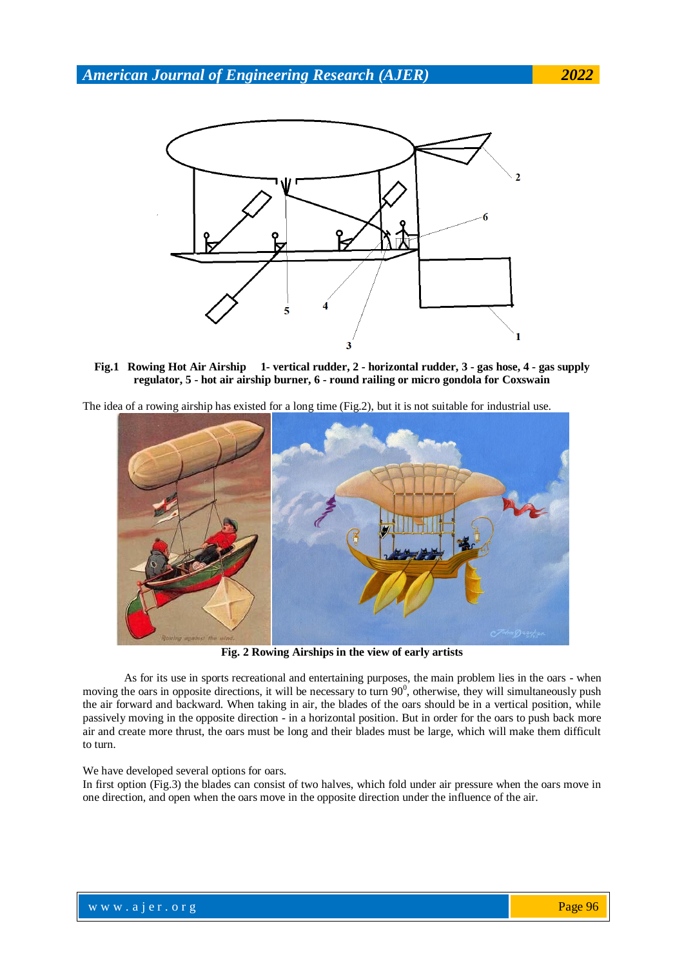

**Fig.1 Rowing Hot Air Airship 1- vertical rudder, 2 - horizontal rudder, 3 - gas hose, 4 - gas supply regulator, 5 - hot air airship burner, 6 - round railing or micro gondola for Coxswain**

The idea of a rowing airship has existed for a long time (Fig.2), but it is not suitable for industrial use.



**Fig. 2 Rowing Airships in the view of early artists**

As for its use in sports recreational and entertaining purposes, the main problem lies in the oars - when moving the oars in opposite directions, it will be necessary to turn  $90^\circ$ , otherwise, they will simultaneously push the air forward and backward. When taking in air, the blades of the oars should be in a vertical position, while passively moving in the opposite direction - in a horizontal position. But in order for the oars to push back more air and create more thrust, the oars must be long and their blades must be large, which will make them difficult to turn.

#### We have developed several options for oars.

In first option (Fig.3) the blades can consist of two halves, which fold under air pressure when the oars move in one direction, and open when the oars move in the opposite direction under the influence of the air.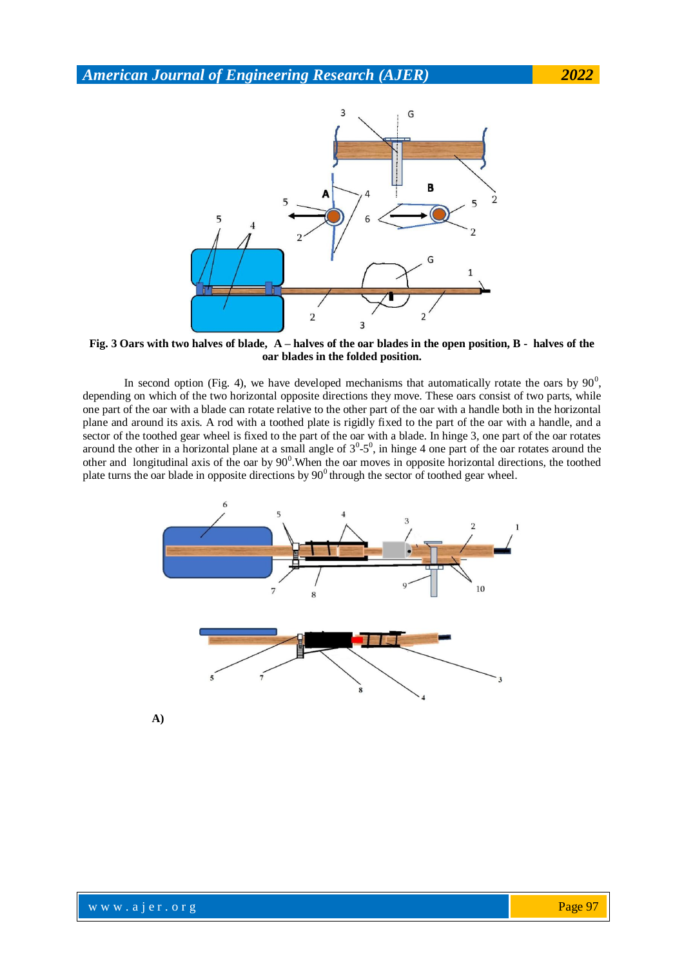

**Fig. 3 Oars with two halves of blade, A – halves of the oar blades in the open position, B - halves of the oar blades in the folded position.**

In second option (Fig. 4), we have developed mechanisms that automatically rotate the oars by  $90^0$ , depending on which of the two horizontal opposite directions they move. These oars consist of two parts, while one part of the oar with a blade can rotate relative to the other part of the oar with a handle both in the horizontal plane and around its axis. A rod with a toothed plate is rigidly fixed to the part of the oar with a handle, and a sector of the toothed gear wheel is fixed to the part of the oar with a blade. In hinge 3, one part of the oar rotates around the other in a horizontal plane at a small angle of  $3^0$ - $5^0$ , in hinge 4 one part of the oar rotates around the other and longitudinal axis of the oar by  $90^{\circ}$ . When the oar moves in opposite horizontal directions, the toothed plate turns the oar blade in opposite directions by  $90^\circ$  through the sector of toothed gear wheel.

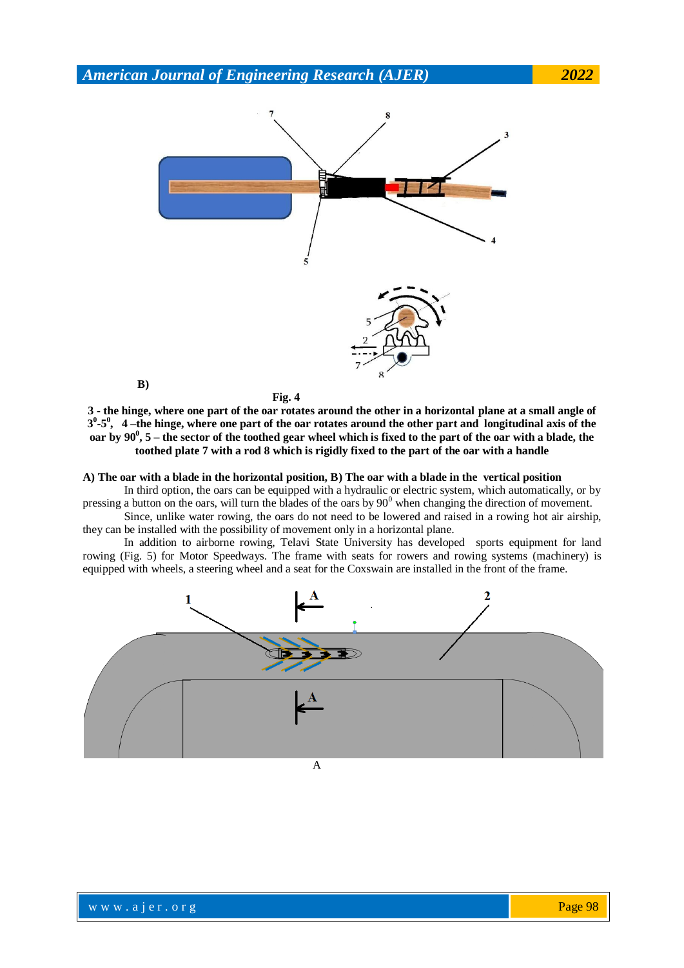

**3 - the hinge, where one part of the oar rotates around the other in a horizontal plane at a small angle of 3 0 -5 0 , 4 –the hinge, where one part of the oar rotates around the other part and longitudinal axis of the oar by 90<sup>0</sup> , 5 – the sector of the toothed gear wheel which is fixed to the part of the oar with a blade, the toothed plate 7 with a rod 8 which is rigidly fixed to the part of the oar with a handle**

**A) The oar with a blade in the horizontal position, B) The oar with a blade in the vertical position**

In third option, the oars can be equipped with a hydraulic or electric system, which automatically, or by pressing a button on the oars, will turn the blades of the oars by  $90^{\circ}$  when changing the direction of movement.

Since, unlike water rowing, the oars do not need to be lowered and raised in a rowing hot air airship, they can be installed with the possibility of movement only in a horizontal plane.

In addition to airborne rowing, Telavi State University has developed sports equipment for land rowing (Fig. 5) for Motor Speedways. The frame with seats for rowers and rowing systems (machinery) is equipped with wheels, a steering wheel and a seat for the Coxswain are installed in the front of the frame.